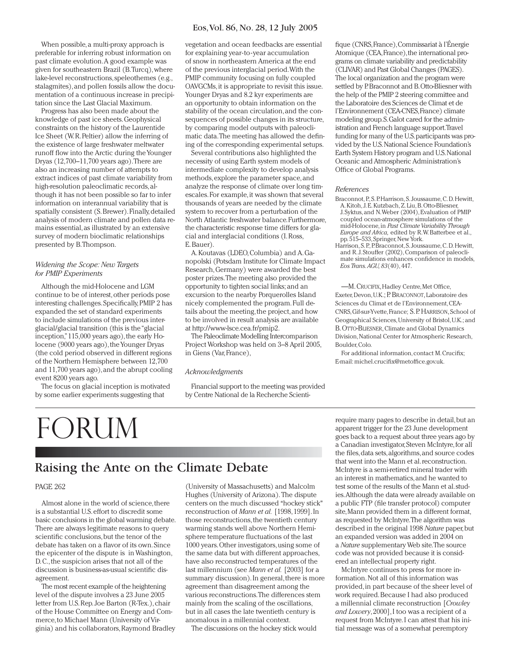## Eos, Vol. 86, No. 28, 12 July 2005

When possible, a multi-proxy approach is preferable for inferring robust information on past climate evolution. A good example was given for southeastern Brazil (B. Turcq), where lake-level reconstructions, speleothemes (e.g., stalagmites), and pollen fossils allow the documentation of a continuous increase in precipitation since the Last Glacial Maximum.

Progress has also been made about the knowledge of past ice sheets. Geophysical constraints on the history of the Laurentide Ice Sheet (W. R. Peltier) allow the inferring of the existence of large freshwater meltwater runoff flow into the Arctic during the Younger Dryas (12,700–11,700 years ago). There are also an increasing number of attempts to extract indices of past climate variability from high-resolution paleoclimatic records, although it has not been possible so far to infer information on interannual variability that is spatially consistent (S. Brewer). Finally, detailed analysis of modern climate and pollen data remains essential, as illustrated by an extensive survey of modern bioclimatic relationships presented by B. Thompson.

### *Widening the Scope: New Targets for PMIP Experiments*

Although the mid-Holocene and LGM continue to be of interest, other periods pose interesting challenges. Specifically, PMIP 2 has expanded the set of standard experiments to include simulations of the previous interglacial/glacial transition (this is the "glacial inception," 115,000 years ago), the early Holocene (9000 years ago), the Younger Dryas (the cold period observed in different regions of the Northern Hemisphere between 12,700 and 11,700 years ago), and the abrupt cooling event 8200 years ago.

The focus on glacial inception is motivated by some earlier experiments suggesting that

# forum

vegetation and ocean feedbacks are essential for explaining year-to-year accumulation of snow in northeastern America at the end of the previous interglacial period. With the PMIP community focusing on fully coupled OAVGCMs, it is appropriate to revisit this issue. Younger Dryas and 8.2 kyr experiments are an opportunity to obtain information on the stability of the ocean circulation, and the consequences of possible changes in its structure, by comparing model outputs with paleoclimatic data. The meeting has allowed the defining of the corresponding experimental setups.

Several contributions also highlighted the necessity of using Earth system models of intermediate complexity to develop analysis methods, explore the parameter space, and analyze the response of climate over long timescales. For example, it was shown that several thousands of years are needed by the climate system to recover from a perturbation of the North Atlantic freshwater balance. Furthermore, the characteristic response time differs for glacial and interglacial conditions (I. Ross, E. Bauer).

A. Koutavas (LDEO, Columbia) and A. Ganopolski (Potsdam Institute for Climate Impact Research, Germany) were awarded the best poster prizes. The meeting also provided the opportunity to tighten social links; and an excursion to the nearby Porquerolles Island nicely complemented the program. Full details about the meeting, the project, and how to be involved in result analysis are available at http://www-lsce.cea.fr/pmip2.

The Paleoclimate Modelling Intercomparison Project Workshop was held on 3–8 April 2005, in Giens (Var, France),

### *Acknowledgments*

Financial support to the meeting was provided by Centre National de la Recherche Scienti-

fique (CNRS, France), Commissariat à l'Énergie Atomique (CEA, France), the international programs on climate variability and predictability (CLIVAR) and Past Global Changes (PAGES). The local organization and the program were settled by P. Braconnot and B. Otto-Bliesner with the help of the PMIP 2 steering committee and the Laboratoire des Sciences de Climat et de l'Environnement (CEA-CNES, France) climate modeling group. S. Galot cared for the administration and French language support. Travel funding for many of the U.S. participants was provided by the U.S. National Science Foundation's Earth System History program and U.S. National Oceanic and Atmospheric Administration's Office of Global Programs.

### *References*

- Braconnot, P., S. P. Harrison, S. Joussaume, C. D. Hewitt, A. Kitoh, J. E. Kutzbach, Z. Liu, B. Otto-Bliesner, J. Syktus, and N. Weber (2004), Evaluation of PMIP coupled ocean-atmosphere simulations of the mid-Holocene, in *Past Climate Variability Through Europe and Africa,* edited by R. W. Batterbee et al., pp. 515–533, Springer, New York.
- Harrison, S. P., P. Braconnot, S. Joussaume, C. D. Hewitt, and R. J. Stouffer (2002), Comparison of paleoclimate simulations enhances confidence in models, *Eos Trans. AGU, 83*(40), 447.

-M. CRUCIFIX, Hadley Centre, Met Office, Exeter, Devon, U.K.; P. BRACONNOT,Laboratoire des Sciences du Climat et de l'Environnement, CEA-CNRS, Gif-sur-Yvette, France; S. P. HARRISON, School of Geographical Sciences, University of Bristol, U.K.; and B. OTTO-BLIESNER,Climate and Global Dynamics Division, National Center for Atmospheric Research, Boulder, Colo.

For additional information, contact M. Crucifix: E-mail: michel.crucifix@metoffice.gov.uk.

# $R$  and  $R$  the Ante on the Climate Debate

### PAGE 262

Almost alone in the world of science, there is a substantial U.S. effort to discredit some basic conclusions in the global warming debate. There are always legitimate reasons to query scientific conclusions, but the tenor of the debate has taken on a flavor of its own. Since the epicenter of the dispute is in Washington, D. C., the suspicion arises that not all of the discussion is business-as-usual scientific disagreement.

The most recent example of the heightening level of the dispute involves a 23 June 2005 letter from U.S. Rep. Joe Barton (R-Tex.), chair of the House Committee on Energy and Commerce, to Michael Mann (University of Virginia) and his collaborators, Raymond Bradley (University of Massachusetts) and Malcolm Hughes (University of Arizona). The dispute centers on the much discussed "hockey stick" reconstruction of *Mann et al.* [1998, 1999]. In those reconstructions, the twentieth century warming stands well above Northern Hemisphere temperature fluctuations of the last 1000 years. Other investigators, using some of the same data but with different approaches, have also reconstructed temperatures of the last millennium (see *Mann et al.* [2003] for a summary discussion). In general, there is more agreement than disagreement among the various reconstructions. The differences stem mainly from the scaling of the oscillations, but in all cases the late twentieth century is anomalous in a millennial context.

The discussions on the hockey stick would

require many pages to describe in detail, but an apparent trigger for the 23 June development goes back to a request about three years ago by a Canadian investigator, Steven McIntyre, for all the files, data sets, algorithms, and source codes that went into the Mann et al. reconstruction. McIntyre is a semi-retired mineral trader with an interest in mathematics, and he wanted to test some of the results of the Mann et al. studies. Although the data were already available on a public FTP (file transfer protocol) computer site, Mann provided them in a different format, as requested by McIntyre. The algorithm was described in the original 1998 *Nature* paper, but an expanded version was added in 2004 on a *Nature* supplementary Web site. The source code was not provided because it is considered an intellectual property right.

McIntyre continues to press for more information. Not all of this information was provided, in part because of the sheer level of work required. Because I had also produced a millennial climate reconstruction [*Crowley and Lowery*, 2000], I too was a recipient of a request from McIntyre. I can attest that his initial message was of a somewhat peremptory